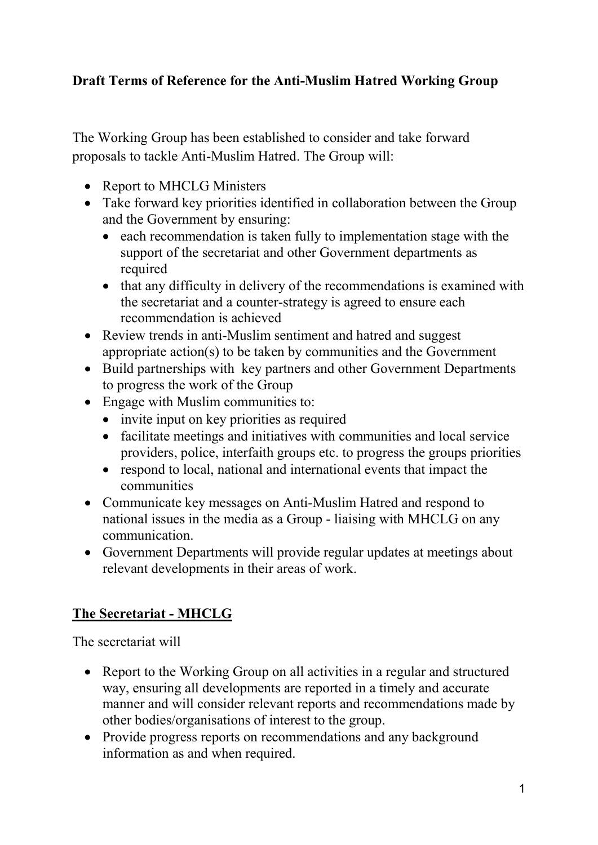## **Draft Terms of Reference for the Anti-Muslim Hatred Working Group**

The Working Group has been established to consider and take forward proposals to tackle Anti-Muslim Hatred. The Group will:

- Report to MHCLG Ministers
- Take forward key priorities identified in collaboration between the Group and the Government by ensuring:
	- each recommendation is taken fully to implementation stage with the support of the secretariat and other Government departments as required
	- that any difficulty in delivery of the recommendations is examined with the secretariat and a counter-strategy is agreed to ensure each recommendation is achieved
- Review trends in anti-Muslim sentiment and hatred and suggest appropriate action(s) to be taken by communities and the Government
- Build partnerships with key partners and other Government Departments to progress the work of the Group
- Engage with Muslim communities to:
	- invite input on key priorities as required
	- facilitate meetings and initiatives with communities and local service providers, police, interfaith groups etc. to progress the groups priorities
	- respond to local, national and international events that impact the communities
- Communicate key messages on Anti-Muslim Hatred and respond to national issues in the media as a Group - liaising with MHCLG on any communication.
- Government Departments will provide regular updates at meetings about relevant developments in their areas of work.

## **The Secretariat - MHCLG**

The secretariat will

- Report to the Working Group on all activities in a regular and structured way, ensuring all developments are reported in a timely and accurate manner and will consider relevant reports and recommendations made by other bodies/organisations of interest to the group.
- Provide progress reports on recommendations and any background information as and when required.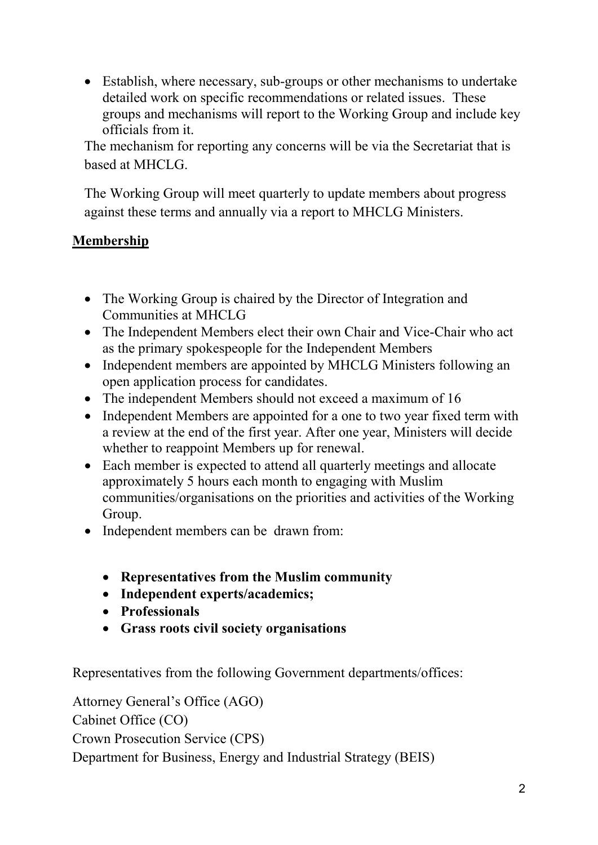• Establish, where necessary, sub-groups or other mechanisms to undertake detailed work on specific recommendations or related issues. These groups and mechanisms will report to the Working Group and include key officials from it.

The mechanism for reporting any concerns will be via the Secretariat that is based at MHCLG.

The Working Group will meet quarterly to update members about progress against these terms and annually via a report to MHCLG Ministers.

## **Membership**

- The Working Group is chaired by the Director of Integration and Communities at MHCLG
- The Independent Members elect their own Chair and Vice-Chair who act as the primary spokespeople for the Independent Members
- Independent members are appointed by MHCLG Ministers following an open application process for candidates.
- The independent Members should not exceed a maximum of 16
- Independent Members are appointed for a one to two year fixed term with a review at the end of the first year. After one year, Ministers will decide whether to reappoint Members up for renewal.
- Each member is expected to attend all quarterly meetings and allocate approximately 5 hours each month to engaging with Muslim communities/organisations on the priorities and activities of the Working Group.
- Independent members can be drawn from:
	- **Representatives from the Muslim community**
	- **Independent experts/academics;**
	- **Professionals**
	- **Grass roots civil society organisations**

Representatives from the following Government departments/offices:

Attorney General's Office (AGO) Cabinet Office (CO) Crown Prosecution Service (CPS) Department for Business, Energy and Industrial Strategy (BEIS)